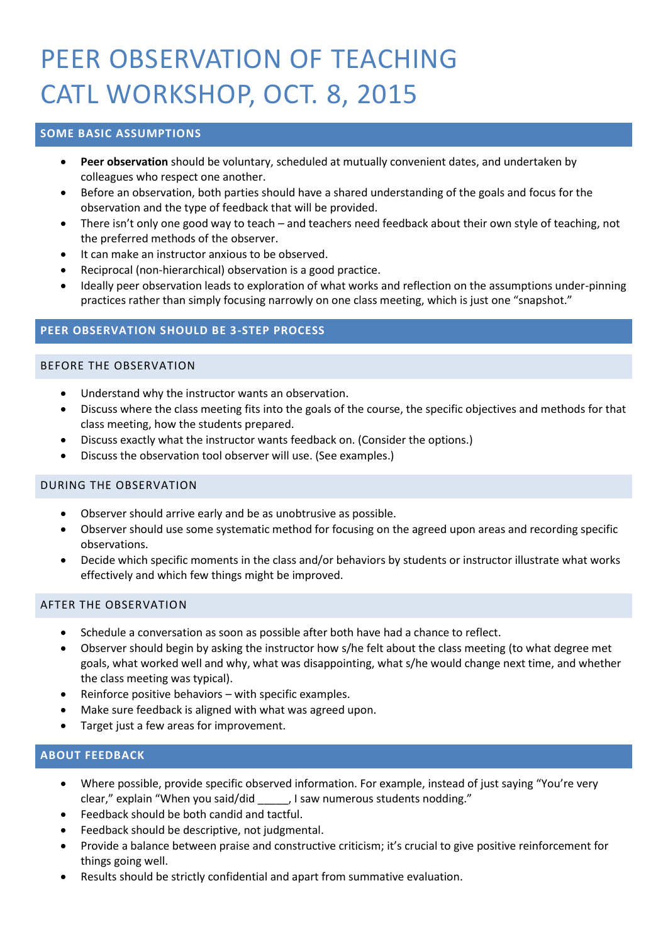# PEER OBSERVATION OF TEACHING CATL WORKSHOP, OCT. 8, 2015

# **SOME BASIC ASSUMPTIONS**

- **Peer observation** should be voluntary, scheduled at mutually convenient dates, and undertaken by colleagues who respect one another.
- Before an observation, both parties should have a shared understanding of the goals and focus for the observation and the type of feedback that will be provided.
- There isn't only one good way to teach and teachers need feedback about their own style of teaching, not the preferred methods of the observer.
- It can make an instructor anxious to be observed.
- Reciprocal (non-hierarchical) observation is a good practice.
- Ideally peer observation leads to exploration of what works and reflection on the assumptions under-pinning practices rather than simply focusing narrowly on one class meeting, which is just one "snapshot."

### **PEER OBSERVATION SHOULD BE 3-STEP PROCESS**

#### BEFORE THE OBSERVATION

- Understand why the instructor wants an observation.
- Discuss where the class meeting fits into the goals of the course, the specific objectives and methods for that class meeting, how the students prepared.
- Discuss exactly what the instructor wants feedback on. (Consider the options.)
- Discuss the observation tool observer will use. (See examples.)

#### DURING THE OBSERVATION

- Observer should arrive early and be as unobtrusive as possible.
- Observer should use some systematic method for focusing on the agreed upon areas and recording specific observations.
- Decide which specific moments in the class and/or behaviors by students or instructor illustrate what works effectively and which few things might be improved.

#### AFTER THE OBSERVATION

- Schedule a conversation as soon as possible after both have had a chance to reflect.
- Observer should begin by asking the instructor how s/he felt about the class meeting (to what degree met goals, what worked well and why, what was disappointing, what s/he would change next time, and whether the class meeting was typical).
- Reinforce positive behaviors with specific examples.
- Make sure feedback is aligned with what was agreed upon.
- Target just a few areas for improvement.

#### **ABOUT FEEDBACK**

- Where possible, provide specific observed information. For example, instead of just saying "You're very clear," explain "When you said/did \_\_\_\_\_, I saw numerous students nodding."
- Feedback should be both candid and tactful.
- Feedback should be descriptive, not judgmental.
- Provide a balance between praise and constructive criticism; it's crucial to give positive reinforcement for things going well.
- Results should be strictly confidential and apart from summative evaluation.